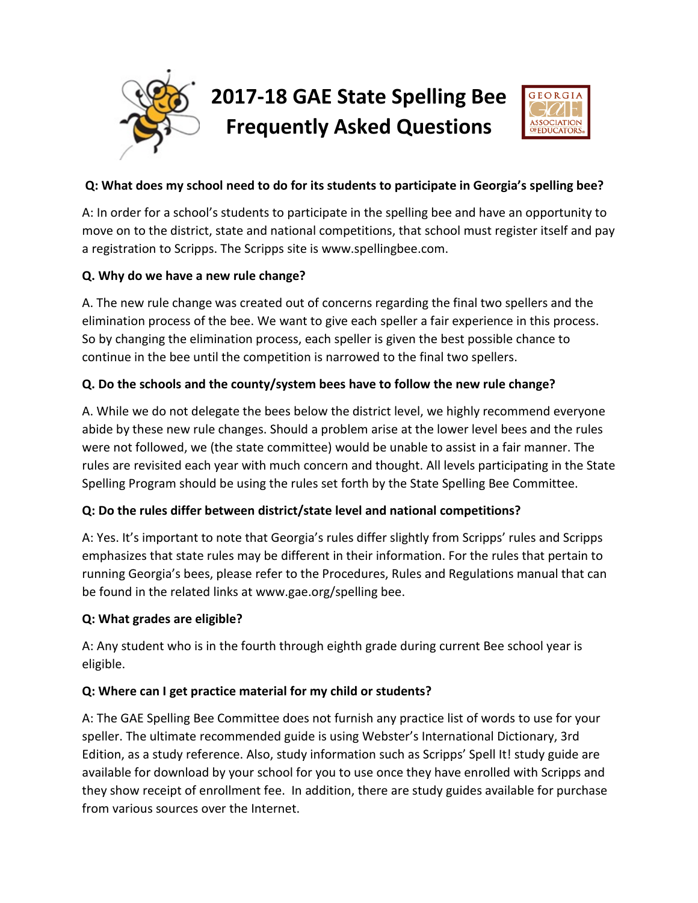

## **Q: What does my school need to do for its students to participate in Georgia's spelling bee?**

A: In order for a school's students to participate in the spelling bee and have an opportunity to move on to the district, state and national competitions, that school must register itself and pay a registration to Scripps. The Scripps site is www.spellingbee.com.

### **Q. Why do we have a new rule change?**

A. The new rule change was created out of concerns regarding the final two spellers and the elimination process of the bee. We want to give each speller a fair experience in this process. So by changing the elimination process, each speller is given the best possible chance to continue in the bee until the competition is narrowed to the final two spellers.

### **Q. Do the schools and the county/system bees have to follow the new rule change?**

A. While we do not delegate the bees below the district level, we highly recommend everyone abide by these new rule changes. Should a problem arise at the lower level bees and the rules were not followed, we (the state committee) would be unable to assist in a fair manner. The rules are revisited each year with much concern and thought. All levels participating in the State Spelling Program should be using the rules set forth by the State Spelling Bee Committee.

### **Q: Do the rules differ between district/state level and national competitions?**

A: Yes. It's important to note that Georgia's rules differ slightly from Scripps' rules and Scripps emphasizes that state rules may be different in their information. For the rules that pertain to running Georgia's bees, please refer to the Procedures, Rules and Regulations manual that can be found in the related links at www.gae.org/spelling bee.

#### **Q: What grades are eligible?**

A: Any student who is in the fourth through eighth grade during current Bee school year is eligible.

#### **Q: Where can I get practice material for my child or students?**

A: The GAE Spelling Bee Committee does not furnish any practice list of words to use for your speller. The ultimate recommended guide is using Webster's International Dictionary, 3rd Edition, as a study reference. Also, study information such as Scripps' Spell It! study guide are available for download by your school for you to use once they have enrolled with Scripps and they show receipt of enrollment fee. In addition, there are study guides available for purchase from various sources over the Internet.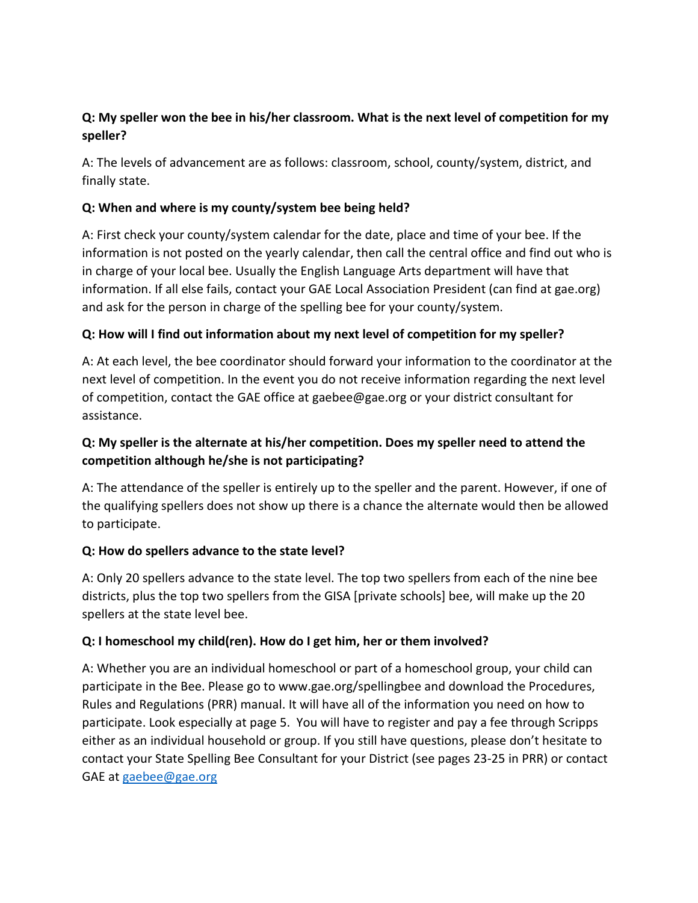# **Q: My speller won the bee in his/her classroom. What is the next level of competition for my speller?**

A: The levels of advancement are as follows: classroom, school, county/system, district, and finally state.

## **Q: When and where is my county/system bee being held?**

A: First check your county/system calendar for the date, place and time of your bee. If the information is not posted on the yearly calendar, then call the central office and find out who is in charge of your local bee. Usually the English Language Arts department will have that information. If all else fails, contact your GAE Local Association President (can find at gae.org) and ask for the person in charge of the spelling bee for your county/system.

## **Q: How will I find out information about my next level of competition for my speller?**

A: At each level, the bee coordinator should forward your information to the coordinator at the next level of competition. In the event you do not receive information regarding the next level of competition, contact the GAE office at gaebee@gae.org or your district consultant for assistance.

# **Q: My speller is the alternate at his/her competition. Does my speller need to attend the competition although he/she is not participating?**

A: The attendance of the speller is entirely up to the speller and the parent. However, if one of the qualifying spellers does not show up there is a chance the alternate would then be allowed to participate.

### **Q: How do spellers advance to the state level?**

A: Only 20 spellers advance to the state level. The top two spellers from each of the nine bee districts, plus the top two spellers from the GISA [private schools] bee, will make up the 20 spellers at the state level bee.

### **Q: I homeschool my child(ren). How do I get him, her or them involved?**

A: Whether you are an individual homeschool or part of a homeschool group, your child can participate in the Bee. Please go to www.gae.org/spellingbee and download the Procedures, Rules and Regulations (PRR) manual. It will have all of the information you need on how to participate. Look especially at page 5. You will have to register and pay a fee through Scripps either as an individual household or group. If you still have questions, please don't hesitate to contact your State Spelling Bee Consultant for your District (see pages 23-25 in PRR) or contact GAE at [gaebee@gae.org](mailto:gaebee@gae.org)